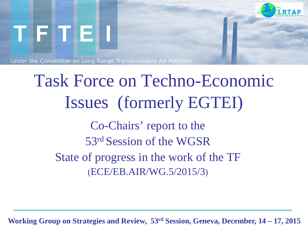

# Task Force on Techno-Economic Issues (formerly EGTEI) Co-Chairs' report to the 53rd Session of the WGSR State of progress in the work of the TF (ECE/EB.AIR/WG.5/2015/3)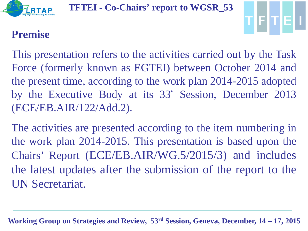



### **Premise**

This presentation refers to the activities carried out by the Task Force (formerly known as EGTEI) between October 2014 and the present time, according to the work plan 2014-2015 adopted by the Executive Body at its 33° Session, December 2013 (ECE/EB.AIR/122/Add.2).

The activities are presented according to the item numbering in the work plan 2014-2015. This presentation is based upon the Chairs' Report (ECE/EB.AIR/WG.5/2015/3) and includes the latest updates after the submission of the report to the UN Secretariat.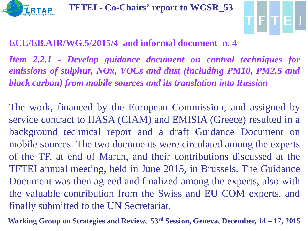



#### **ECE/EB.AIR/WG.5/2015/4 and informal document n. 4**

*Item 2.2.1 - Develop guidance document on control techniques for emissions of sulphur, NOx, VOCs and dust (including PM10, PM2.5 and black carbon) from mobile sources and its translation into Russian*

The work, financed by the European Commission, and assigned by service contract to IIASA (CIAM) and EMISIA (Greece) resulted in a background technical report and a draft Guidance Document on mobile sources. The two documents were circulated among the experts of the TF, at end of March, and their contributions discussed at the TFTEI annual meeting, held in June 2015, in Brussels. The Guidance Document was then agreed and finalized among the experts, also with the valuable contribution from the Swiss and EU COM experts, and finally submitted to the UN Secretariat.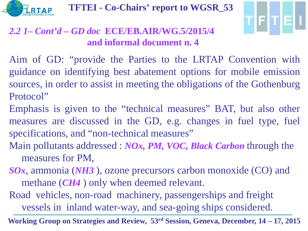



### *2.2 1– Cont'd – GD doc* **ECE/EB.AIR/WG.5/2015/4 and informal document n. 4**

Aim of GD: "provide the Parties to the LRTAP Convention with guidance on identifying best abatement options for mobile emission sources, in order to assist in meeting the obligations of the Gothenburg Protocol"

Emphasis is given to the "technical measures" BAT, but also other measures are discussed in the GD, e.g. changes in fuel type, fuel specifications, and "non-technical measures"

Main pollutants addressed : *NOx, PM, VOC, Black Carbon* through the measures for PM,

*SOx*, ammonia (*NH3* ), ozone precursors carbon monoxide (CO) and methane (*CH4* ) only when deemed relevant.

Road vehicles, non-road machinery, passengerships and freight vessels in inland water-way, and sea-going ships considered.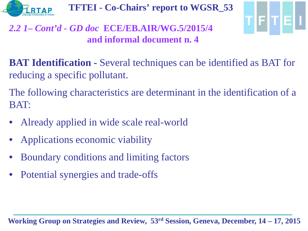



#### *2.2 1– Cont'd - GD doc* **ECE/EB.AIR/WG.5/2015/4 and informal document n. 4**

**BAT Identification -** Several techniques can be identified as BAT for reducing a specific pollutant.

The following characteristics are determinant in the identification of a BAT:

- Already applied in wide scale real-world
- Applications economic viability
- Boundary conditions and limiting factors
- Potential synergies and trade-offs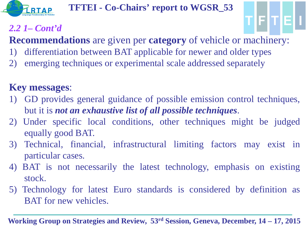

### *2.2 1– Cont'd*

**Recommendations** are given per **category** of vehicle or machinery:

1F IT IE

- 1) differentiation between BAT applicable for newer and older types
- 2) emerging techniques or experimental scale addressed separately

### **Key messages**:

- 1) GD provides general guidance of possible emission control techniques, but it is *not an exhaustive list of all possible techniques*.
- 2) Under specific local conditions, other techniques might be judged equally good BAT.
- 3) Technical, financial, infrastructural limiting factors may exist in particular cases.
- 4) BAT is not necessarily the latest technology, emphasis on existing stock.
- 5) Technology for latest Euro standards is considered by definition as BAT for new vehicles.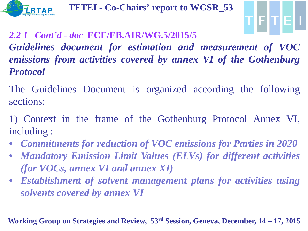



*2.2 1– Cont'd - doc* **ECE/EB.AIR/WG.5/2015/5** *Guidelines document for estimation and measurement of VOC emissions from activities covered by annex VI of the Gothenburg Protocol*

The Guidelines Document is organized according the following sections:

1) Context in the frame of the Gothenburg Protocol Annex VI, including :

- *Commitments for reduction of VOC emissions for Parties in 2020*
- *Mandatory Emission Limit Values (ELVs) for different activities (for VOCs, annex VI and annex XI)*
- *Establishment of solvent management plans for activities using solvents covered by annex VI*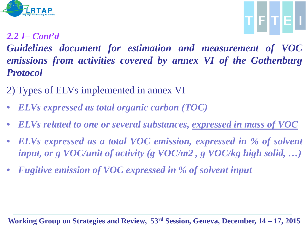



*2.2 1– Cont'd*

*Guidelines document for estimation and measurement of VOC emissions from activities covered by annex VI of the Gothenburg Protocol*

- 2) Types of ELVs implemented in annex VI
- *ELVs expressed as total organic carbon (TOC)*
- *ELVs related to one or several substances, expressed in mass of VOC*
- *ELVs expressed as a total VOC emission, expressed in % of solvent input, or g VOC/unit of activity (g VOC/m2 , g VOC/kg high solid, …)*
- *Fugitive emission of VOC expressed in % of solvent input*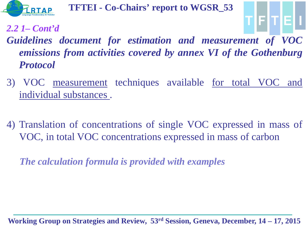

*2.2 1– Cont'd*

*Guidelines document for estimation and measurement of VOC emissions from activities covered by annex VI of the Gothenburg Protocol*

TIFITIEI

- 3) VOC measurement techniques available for total VOC and individual substances .
- 4) Translation of concentrations of single VOC expressed in mass of VOC, in total VOC concentrations expressed in mass of carbon

 *The calculation formula is provided with examples*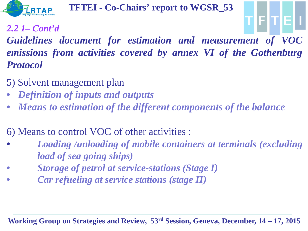

*2.2 1– Cont'd*

*Guidelines document for estimation and measurement of VOC emissions from activities covered by annex VI of the Gothenburg Protocol*

- 5) Solvent management plan
- *Definition of inputs and outputs*
- *Means to estimation of the different components of the balance*

6) Means to control VOC of other activities :

- *Loading /unloading of mobile containers at terminals (excluding load of sea going ships)*
- *Storage of petrol at service-stations (Stage I)*
- *Car refueling at service stations (stage II)*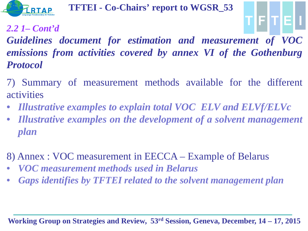

*2.2 1– Cont'd*

*Guidelines document for estimation and measurement of VOC emissions from activities covered by annex VI of the Gothenburg Protocol*

TIFITIEI

- 7) Summary of measurement methods available for the different activities
- *Illustrative examples to explain total VOC ELV and ELVf/ELVc*
- *Illustrative examples on the development of a solvent management plan*
- 8) Annex : VOC measurement in EECCA Example of Belarus
- *VOC measurement methods used in Belarus*
- *Gaps identifies by TFTEI related to the solvent management plan*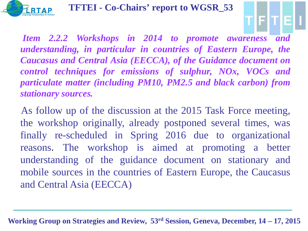

*Item 2.2.2 Workshops in 2014 to promote awareness and understanding, in particular in countries of Eastern Europe, the Caucasus and Central Asia (EECCA), of the Guidance document on control techniques for emissions of sulphur, NOx, VOCs and particulate matter (including PM10, PM2.5 and black carbon) from stationary sources.*

FIT.

 As follow up of the discussion at the 2015 Task Force meeting, the workshop originally, already postponed several times, was finally re-scheduled in Spring 2016 due to organizational reasons. The workshop is aimed at promoting a better understanding of the guidance document on stationary and mobile sources in the countries of Eastern Europe, the Caucasus and Central Asia (EECCA)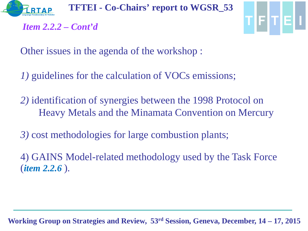TFTE

*Item 2.2.2 – Cont'd*

Other issues in the agenda of the workshop :

- *1)* guidelines for the calculation of VOCs emissions;
- *2)* identification of synergies between the 1998 Protocol on Heavy Metals and the Minamata Convention on Mercury
- *3)* cost methodologies for large combustion plants;
- 4) GAINS Model-related methodology used by the Task Force (*item 2.2.6* ).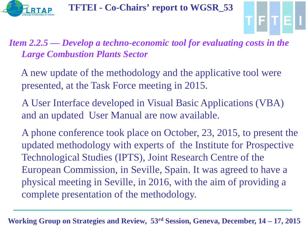



*Item 2.2.5 — Develop a techno-economic tool for evaluating costs in the Large Combustion Plants Sector* 

- A new update of the methodology and the applicative tool were presented, at the Task Force meeting in 2015.
- A User Interface developed in Visual Basic Applications (VBA) and an updated User Manual are now available.

A phone conference took place on October, 23, 2015, to present the updated methodology with experts of the Institute for Prospective Technological Studies (IPTS), Joint Research Centre of the European Commission, in Seville, Spain. It was agreed to have a physical meeting in Seville, in 2016, with the aim of providing a complete presentation of the methodology.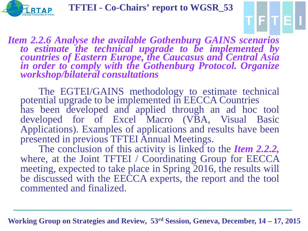

F

*Item 2.2.6 Analyse the available Gothenburg GAINS scenarios* to estimate the technical upgrade to be implemented by<br>countries of Eastern Europe, the Caucasus and Central Asia *in order to comply with the Gothenburg Protocol. Organize workshop/bilateral consultations*

The EGTEI/GAINS methodology to estimate technical potential upgrade to be implemented in EECCA Countries has been developed and applied through an ad hoc tool developed for of Excel Macro (VBA, Visual Basic Applications). Examples of applications and results have been presented in previous TFTEI Annual Meetings.

The conclusion of this activity is linked to the *Item 2.2.2*, where, at the Joint TFTEI / Coordinating Group for EECCA meeting, expected to take place in Spring 2016, the results will be discussed with the EECCA experts, the report and the tool commented and finalized.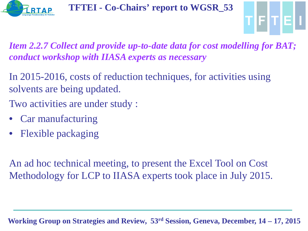



*Item 2.2.7 Collect and provide up-to-date data for cost modelling for BAT; conduct workshop with IIASA experts as necessary* 

In 2015-2016, costs of reduction techniques, for activities using solvents are being updated.

Two activities are under study :

- Car manufacturing
- Flexible packaging

An ad hoc technical meeting, to present the Excel Tool on Cost Methodology for LCP to IIASA experts took place in July 2015.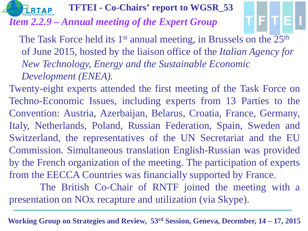

*Item 2.2.9 – Annual meeting of the Expert Group*

The Task Force held its  $1<sup>st</sup>$  annual meeting, in Brussels on the  $25<sup>th</sup>$ of June 2015, hosted by the liaison office of the *Italian Agency for New Technology, Energy and the Sustainable Economic Development (ENEA).* 

Twenty-eight experts attended the first meeting of the Task Force on Techno-Economic Issues, including experts from 13 Parties to the Convention: Austria, Azerbaijan, Belarus, Croatia, France, Germany, Italy, Netherlands, Poland, Russian Federation, Spain, Sweden and Switzerland, the representatives of the UN Secretariat and the EU Commission. Simultaneous translation English-Russian was provided by the French organization of the meeting. The participation of experts from the EECCA Countries was financially supported by France.

The British Co-Chair of RNTF joined the meeting with a presentation on NOx recapture and utilization (via Skype).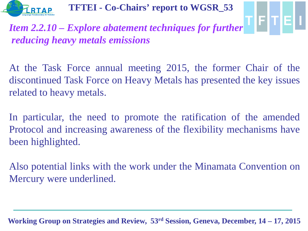

# *Item 2.2.10 – Explore abatement techniques for further*  $\Gamma$   $\Gamma$   $\Gamma$   $\Gamma$ *reducing heavy metals emissions*

At the Task Force annual meeting 2015, the former Chair of the discontinued Task Force on Heavy Metals has presented the key issues related to heavy metals.

In particular, the need to promote the ratification of the amended Protocol and increasing awareness of the flexibility mechanisms have been highlighted.

Also potential links with the work under the Minamata Convention on Mercury were underlined.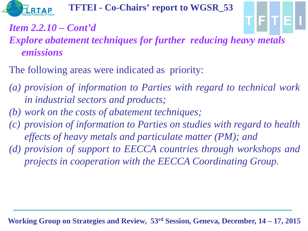

## *Item 2.2.10 – Cont'd*

### *Explore abatement techniques for further reducing heavy metals emissions*

- The following areas were indicated as priority:
- *(a) provision of information to Parties with regard to technical work in industrial sectors and products;*
- *(b) work on the costs of abatement techniques;*
- *(c) provision of information to Parties on studies with regard to health effects of heavy metals and particulate matter (PM); and*
- *(d) provision of support to EECCA countries through workshops and projects in cooperation with the EECCA Coordinating Group.*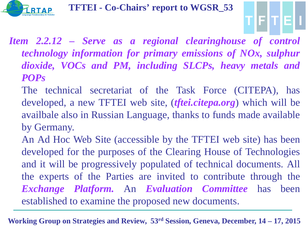

*Item 2.2.12 – Serve as a regional clearinghouse of control technology information for primary emissions of NOx, sulphur dioxide, VOCs and PM, including SLCPs, heavy metals and POPs*

TIFITIEI

- The technical secretariat of the Task Force (CITEPA), has developed, a new TFTEI web site, (*tftei.citepa.org*) which will be availbale also in Russian Language, thanks to funds made available by Germany.
- An Ad Hoc Web Site (accessible by the TFTEI web site) has been developed for the purposes of the Clearing House of Technologies and it will be progressively populated of technical documents. All the experts of the Parties are invited to contribute through the *Exchange Platform.* An *Evaluation Committee* has been established to examine the proposed new documents.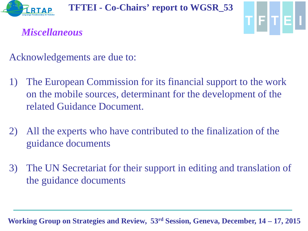



*Miscellaneous*

Acknowledgements are due to:

- 1) The European Commission for its financial support to the work on the mobile sources, determinant for the development of the related Guidance Document.
- 2) All the experts who have contributed to the finalization of the guidance documents
- 3) The UN Secretariat for their support in editing and translation of the guidance documents